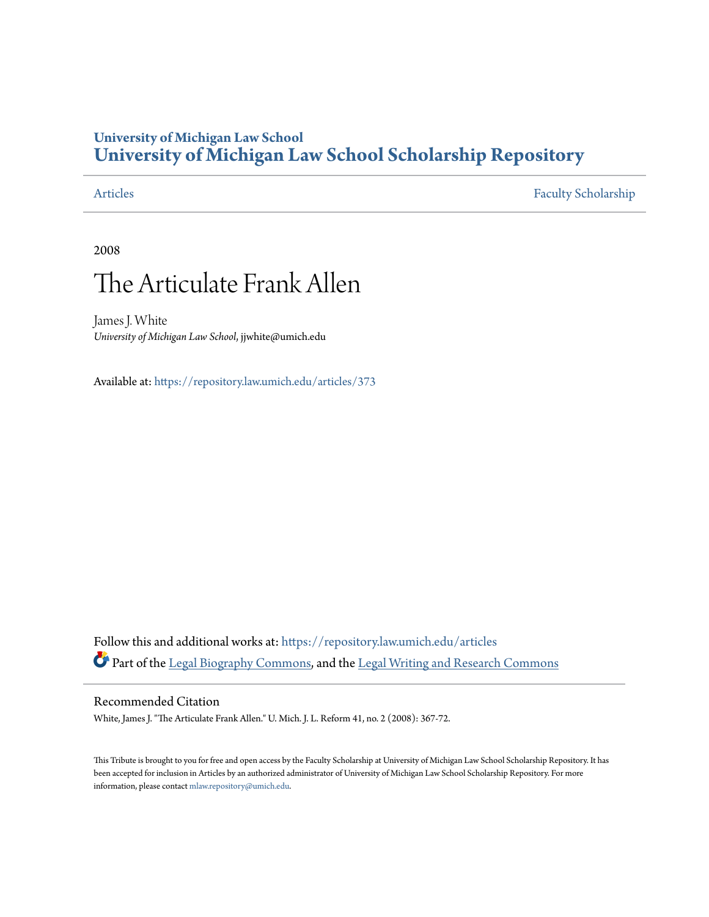## **University of Michigan Law School [University of Michigan Law School Scholarship Repository](https://repository.law.umich.edu?utm_source=repository.law.umich.edu%2Farticles%2F373&utm_medium=PDF&utm_campaign=PDFCoverPages)**

[Articles](https://repository.law.umich.edu/articles?utm_source=repository.law.umich.edu%2Farticles%2F373&utm_medium=PDF&utm_campaign=PDFCoverPages) [Faculty Scholarship](https://repository.law.umich.edu/faculty_scholarship?utm_source=repository.law.umich.edu%2Farticles%2F373&utm_medium=PDF&utm_campaign=PDFCoverPages)

2008

# The Articulate Frank Allen

James J. White *University of Michigan Law School*, jjwhite@umich.edu

Available at: <https://repository.law.umich.edu/articles/373>

Follow this and additional works at: [https://repository.law.umich.edu/articles](https://repository.law.umich.edu/articles?utm_source=repository.law.umich.edu%2Farticles%2F373&utm_medium=PDF&utm_campaign=PDFCoverPages) Part of the [Legal Biography Commons,](http://network.bepress.com/hgg/discipline/834?utm_source=repository.law.umich.edu%2Farticles%2F373&utm_medium=PDF&utm_campaign=PDFCoverPages) and the [Legal Writing and Research Commons](http://network.bepress.com/hgg/discipline/614?utm_source=repository.law.umich.edu%2Farticles%2F373&utm_medium=PDF&utm_campaign=PDFCoverPages)

#### Recommended Citation

White, James J. "The Articulate Frank Allen." U. Mich. J. L. Reform 41, no. 2 (2008): 367-72.

This Tribute is brought to you for free and open access by the Faculty Scholarship at University of Michigan Law School Scholarship Repository. It has been accepted for inclusion in Articles by an authorized administrator of University of Michigan Law School Scholarship Repository. For more information, please contact [mlaw.repository@umich.edu.](mailto:mlaw.repository@umich.edu)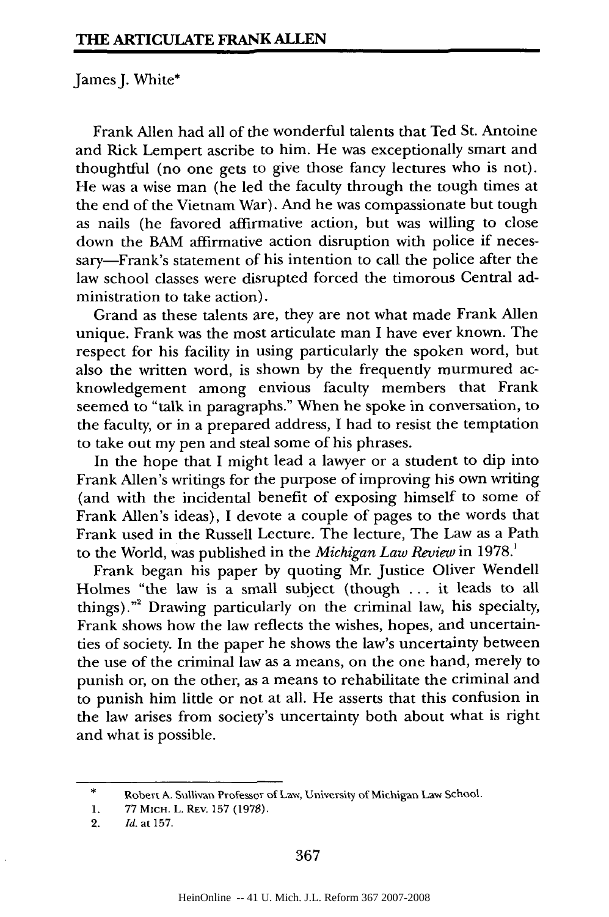### James J. White\*

Frank Allen had all of the wonderful talents that Ted St. Antoine and Rick Lempert ascribe to him. He was exceptionally smart and thoughtful (no one gets to give those fancy lectures who is not). He was a wise man (he led the faculty through the tough times at the end of the Vietnam War). And he was compassionate but tough as nails (he favored affirmative action, but was willing to close down the BAM affirmative action disruption with police if necessary-Frank's statement of his intention to call the police after the law school classes were disrupted forced the timorous Central administration to take action).

Grand as these talents are, they are not what made Frank Allen unique. Frank was the most articulate man I have ever known. The respect for his facility in using particularly the spoken word, but also the written word, is shown by the frequently murmured acknowledgement among envious faculty members that Frank seemed to "talk in paragraphs." When he spoke in conversation, to the faculty, or in a prepared address, I had to resist the temptation to take out my pen and steal some of his phrases.

In the hope that I might lead a lawyer or a student to dip into Frank Allen's writings for the purpose of improving his own writing (and with the incidental benefit of exposing himself to some of Frank Allen's ideas), I devote a couple of pages to the words that Frank used in the Russell Lecture. The lecture, The Law as a Path to the World, was published in the *Michigan Law Review* in **1978.'**

Frank began his paper by quoting Mr. Justice Oliver Wendell Holmes "the law is a small subject (though ... it leads to all things). '' 2 Drawing particularly on the criminal law, his specialty, Frank shows how the law reflects the wishes, hopes, and uncertainties of society. In the paper he shows the law's uncertainty between the use of the criminal law as a means, on the one hand, merely to punish or, on the other, as a means to rehabilitate the criminal and to punish him little or not at all. He asserts that this confusion in the law arises from society's uncertainty both about what is right and what is possible.

<sup>\*</sup> Robert A. Sullivan Professor of Law, University of Michigan Law School.

<sup>1. 77</sup> MICH. L. REv. 157 (1978).

<sup>2.</sup> *Id.* at 157.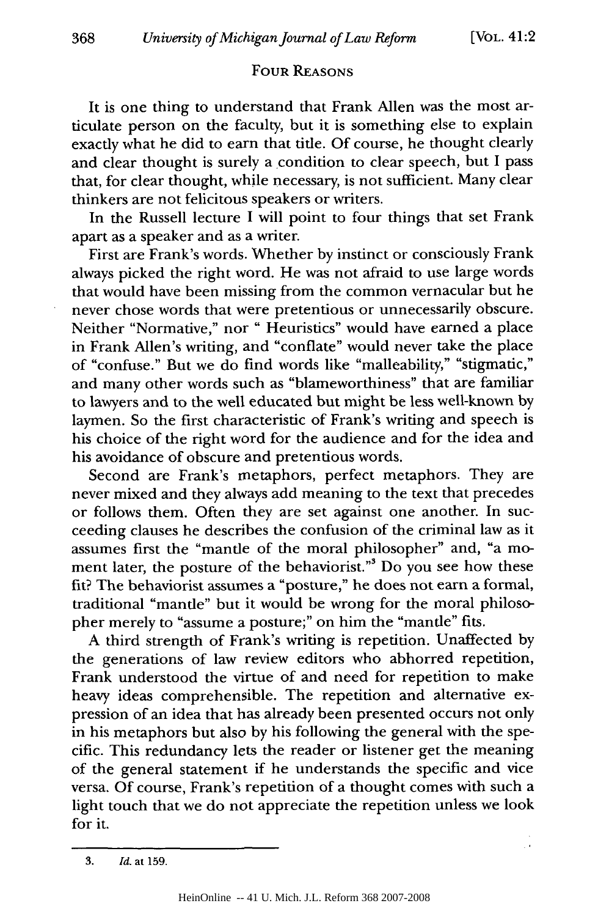#### FOUR **REASONS**

It is one thing to understand that Frank Allen was the most articulate person on the faculty, but it is something else to explain exactly what he did to earn that title. Of course, he thought clearly and clear thought is surely a condition to clear speech, but I pass that, for clear thought, while necessary, is not sufficient. Many clear thinkers are not felicitous speakers or writers.

In the Russell lecture I will point to four things that set Frank apart as a speaker and as a writer.

First are Frank's words. Whether **by** instinct or consciously Frank always picked the right word. He was not afraid to use large words that would have been missing from the common vernacular but he never chose words that were pretentious or unnecessarily obscure. Neither "Normative," nor " Heuristics" would have earned a place in Frank Allen's writing, and "conflate" would never take the place of "confuse." But we do find words like "malleability," "stigmatic," and many other words such as "blameworthiness" that are familiar to lawyers and to the well educated but might be less well-known **by** laymen. So the first characteristic of Frank's writing and speech is his choice of the right word for the audience and for the idea and his avoidance of obscure and pretentious words.

Second are Frank's metaphors, perfect metaphors. They are never mixed and they always add meaning to the text that precedes or follows them. Often they are set against one another. In succeeding clauses he describes the confusion of the criminal law as it assumes first the "mantle of the moral philosopher" and, "a moment later, the posture of the behaviorist."<sup>3</sup> Do you see how these fit? The behaviorist assumes a "posture," he does not earn a formal, traditional "mantle" but it would be wrong for the moral philosopher merely to "assume a posture;" on him the "mantle" fits.

A third strength of Frank's writing is repetition. Unaffected **by** the generations of law review editors who abhorred repetition, Frank understood the virtue of and need for repetition to make heavy ideas comprehensible. The repetition and alternative expression of an idea that has already been presented occurs not only in his metaphors but also **by** his following the general with the specific. This redundancy lets the reader or listener get the meaning of the general statement if he understands the specific and vice versa. **Of** course, Frank's repetition of a thought comes with such a light touch that we do not appreciate the repetition unless we look for it.

**<sup>3.</sup>** *Id.* at 159.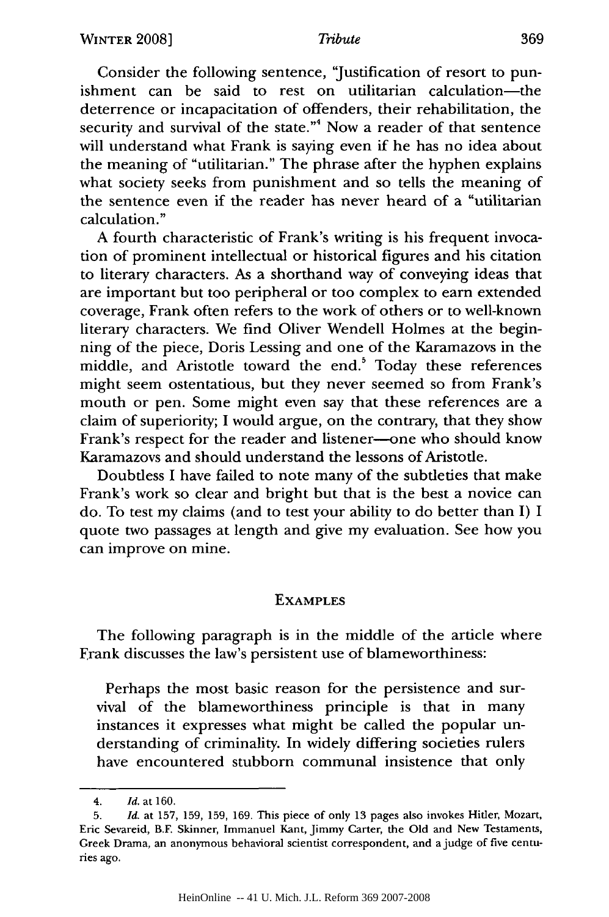#### *Tribute*

Consider the following sentence, 'Justification of resort to punishment can be said to rest on utilitarian calculation-the deterrence or incapacitation of offenders, their rehabilitation, the security and survival of the state."<sup>4</sup> Now a reader of that sentence will understand what Frank is saying even if he has no idea about the meaning of "utilitarian." The phrase after the hyphen explains what society seeks from punishment and so tells the meaning of the sentence even if the reader has never heard of a "utilitarian calculation."

A fourth characteristic of Frank's writing is his frequent invocation of prominent intellectual or historical figures and his citation to literary characters. As a shorthand way of conveying ideas that are important but too peripheral or too complex to earn extended coverage, Frank often refers to the work of others or to well-known literary characters. We find Oliver Wendell Holmes at the beginning of the piece, Doris Lessing and one of the Karamazovs in the middle, and Aristotle toward the end.<sup>5</sup> Today these references might seem ostentatious, but they never seemed so from Frank's mouth or pen. Some might even say that these references are a claim of superiority; I would argue, on the contrary, that they show Frank's respect for the reader and listener-one who should know Karamazovs and should understand the lessons of Aristotle.

Doubtless I have failed to note many of the subtleties that make Frank's work so clear and bright but that is the best a novice can do. To test my claims (and to test your ability to do better than I) I quote two passages at length and give my evaluation. See how you can improve on mine.

#### **EXAMPLES**

The following paragraph is in the middle of the article where Frank discusses the law's persistent use of blameworthiness:

Perhaps the most basic reason for the persistence and survival of the blameworthiness principle is that in many instances it expresses what might be called the popular understanding of criminality. In widely differing societies rulers have encountered stubborn communal insistence that only

<sup>4.</sup> *Id.* at 160.

<sup>5.</sup> *Id.* at 157, 159, 159, 169. This piece of only 13 pages also invokes Hitler, Mozart, Eric Sevareid, B.F. Skinner, Immanuel Kant, Jimmy Carter, the Old and New Testaments, Greek Drama, an anonymous behavioral scientist correspondent, and a judge of five centuries ago.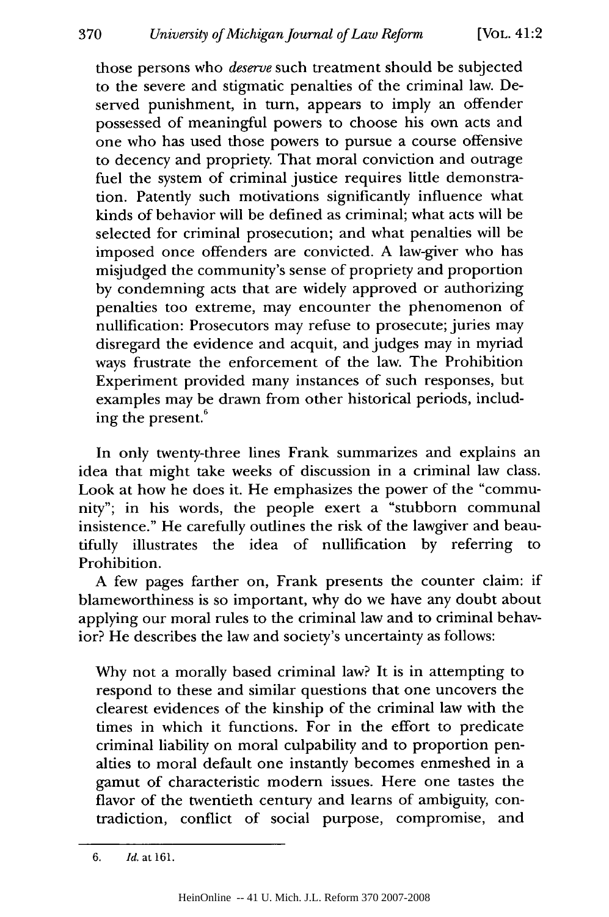those persons who *deserve* such treatment should be subjected to the severe and stigmatic penalties of the criminal law. Deserved punishment, in turn, appears to imply an offender possessed of meaningful powers to choose his own acts and one who has used those powers to pursue a course offensive to decency and propriety. That moral conviction and outrage fuel the system of criminal justice requires little demonstration. Patently such motivations significantly influence what kinds of behavior will be defined as criminal; what acts will be selected for criminal prosecution; and what penalties will be imposed once offenders are convicted. A law-giver who has misjudged the community's sense of propriety and proportion by condemning acts that are widely approved or authorizing penalties too extreme, may encounter the phenomenon of nullification: Prosecutors may refuse to prosecute; juries may disregard the evidence and acquit, and judges may in myriad ways frustrate the enforcement of the law. The Prohibition Experiment provided many instances of such responses, but examples may be drawn from other historical periods, including the present.<sup>6</sup>

In only twenty-three lines Frank summarizes and explains an idea that might take weeks of discussion in a criminal law class. Look at how he does it. He emphasizes the power of the "community"; in his words, the people exert a "stubborn communal insistence." He carefully outlines the risk of the lawgiver and beautifully illustrates the idea of nullification by referring to Prohibition.

A few pages farther on, Frank presents the counter claim: if blameworthiness is so important, why do we have any doubt about applying our moral rules to the criminal law and to criminal behavior? He describes the law and society's uncertainty as follows:

Why not a morally based criminal law? It is in attempting to respond to these and similar questions that one uncovers the clearest evidences of the kinship of the criminal law with the times in which it functions. For in the effort to predicate criminal liability on moral culpability and to proportion penalties to moral default one instantly becomes enmeshed in a gamut of characteristic modern issues. Here one tastes the flavor of the twentieth century and learns of ambiguity, contradiction, conflict of social purpose, compromise, and

*<sup>6.</sup> Id.* at 161.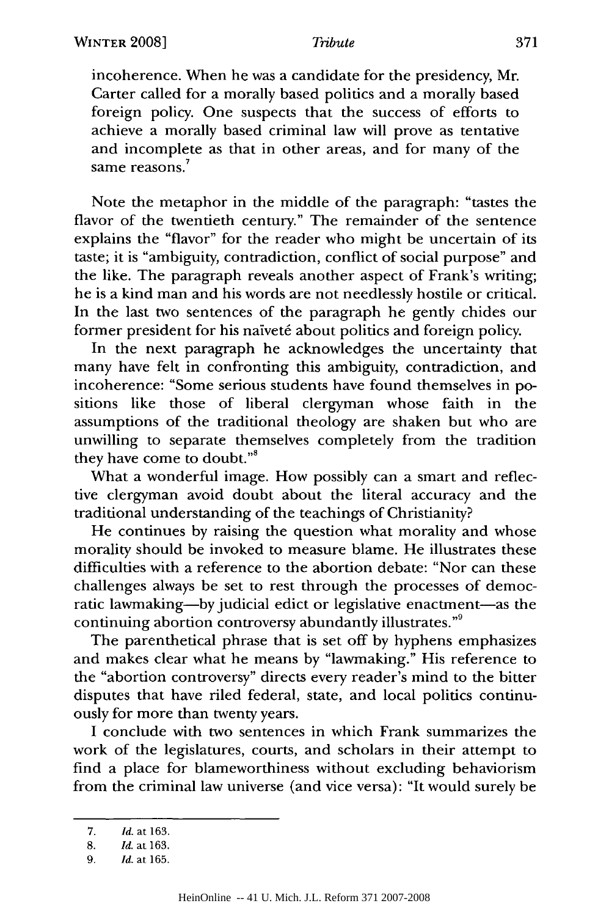#### *Tribute*

incoherence. When he was a candidate for the presidency, Mr. Carter called for a morally based politics and a morally based foreign policy. One suspects that the success of efforts to achieve a morally based criminal law will prove as tentative and incomplete as that in other areas, and for many of the **<sup>7</sup>** same reasons.

Note the metaphor in the middle of the paragraph: "tastes the flavor of the twentieth century." The remainder of the sentence explains the "flavor" for the reader who might be uncertain of its taste; it is "ambiguity, contradiction, conflict of social purpose" and the like. The paragraph reveals another aspect of Frank's writing; he is a kind man and his words are not needlessly hostile or critical. In the last two sentences of the paragraph he gently chides our former president for his naïveté about politics and foreign policy.

In the next paragraph he acknowledges the uncertainty that many have felt in confronting this ambiguity, contradiction, and incoherence: "Some serious students have found themselves in positions like those of liberal clergyman whose faith in the assumptions of the traditional theology are shaken but who are unwilling to separate themselves completely from the tradition they have come to doubt."8

What a wonderful image. How possibly can a smart and reflective clergyman avoid doubt about the literal accuracy and the traditional understanding of the teachings of Christianity?

He continues by raising the question what morality and whose morality should be invoked to measure blame. He illustrates these difficulties with a reference to the abortion debate: "Nor can these challenges always be set to rest through the processes of democratic lawmaking-by judicial edict or legislative enactment-as the continuing abortion controversy abundantly illustrates."9

The parenthetical phrase that is set off by hyphens emphasizes and makes clear what he means by "lawmaking." His reference to the "abortion controversy" directs every reader's mind to the bitter disputes that have riled federal, state, and local politics continuously for more than twenty years.

I conclude with two sentences in which Frank summarizes the work of the legislatures, courts, and scholars in their attempt to find a place for blameworthiness without excluding behaviorism from the criminal law universe (and vice versa): "It would surely be

<sup>7.</sup> *Id.* at 163.

<sup>8.</sup> *Id.* at 163.

*<sup>9.</sup> Id.* at 165.